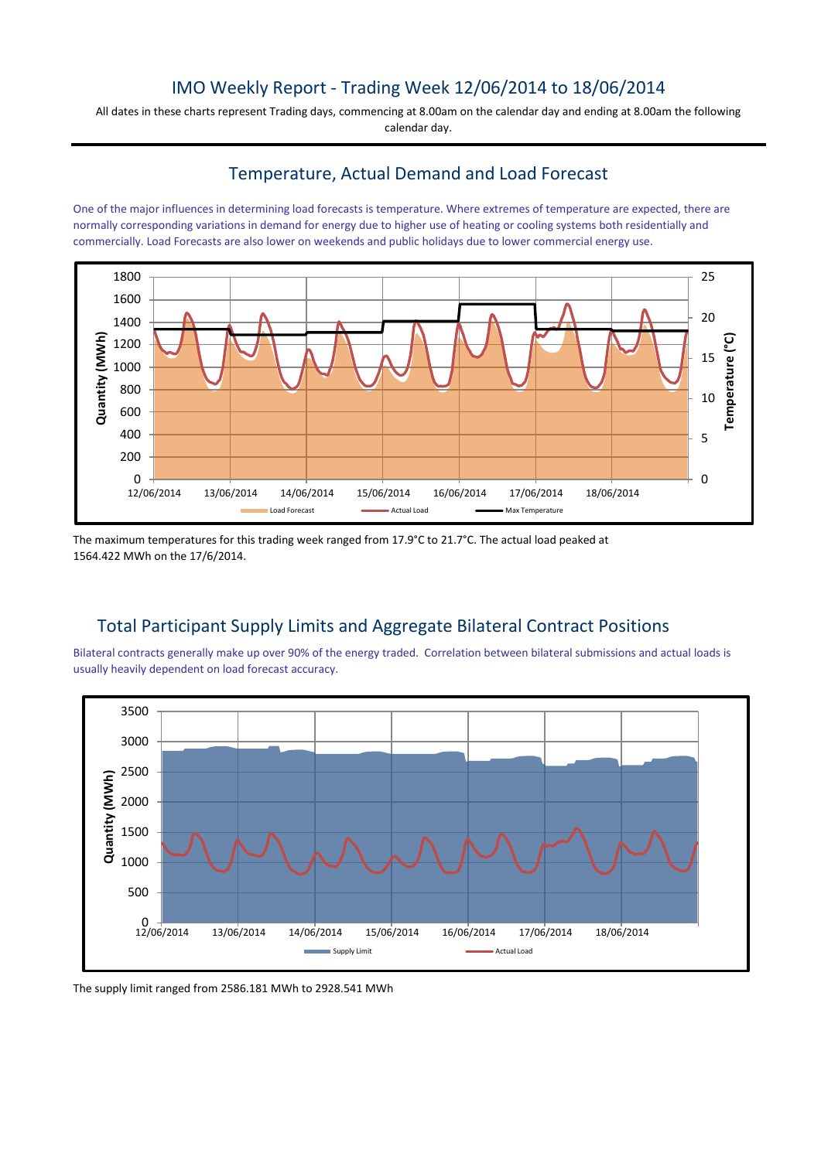# IMO Weekly Report - Trading Week 12/06/2014 to 18/06/2014

All dates in these charts represent Trading days, commencing at 8.00am on the calendar day and ending at 8.00am the following calendar day.

# Temperature, Actual Demand and Load Forecast

One of the major influences in determining load forecasts is temperature. Where extremes of temperature are expected, there are normally corresponding variations in demand for energy due to higher use of heating or cooling systems both residentially and commercially. Load Forecasts are also lower on weekends and public holidays due to lower commercial energy use.



The maximum temperatures for this trading week ranged from 17.9°C to 21.7°C. The actual load peaked at 1564.422 MWh on the 17/6/2014.

# Total Participant Supply Limits and Aggregate Bilateral Contract Positions

Bilateral contracts generally make up over 90% of the energy traded. Correlation between bilateral submissions and actual loads is usually heavily dependent on load forecast accuracy.



The supply limit ranged from 2586.181 MWh to 2928.541 MWh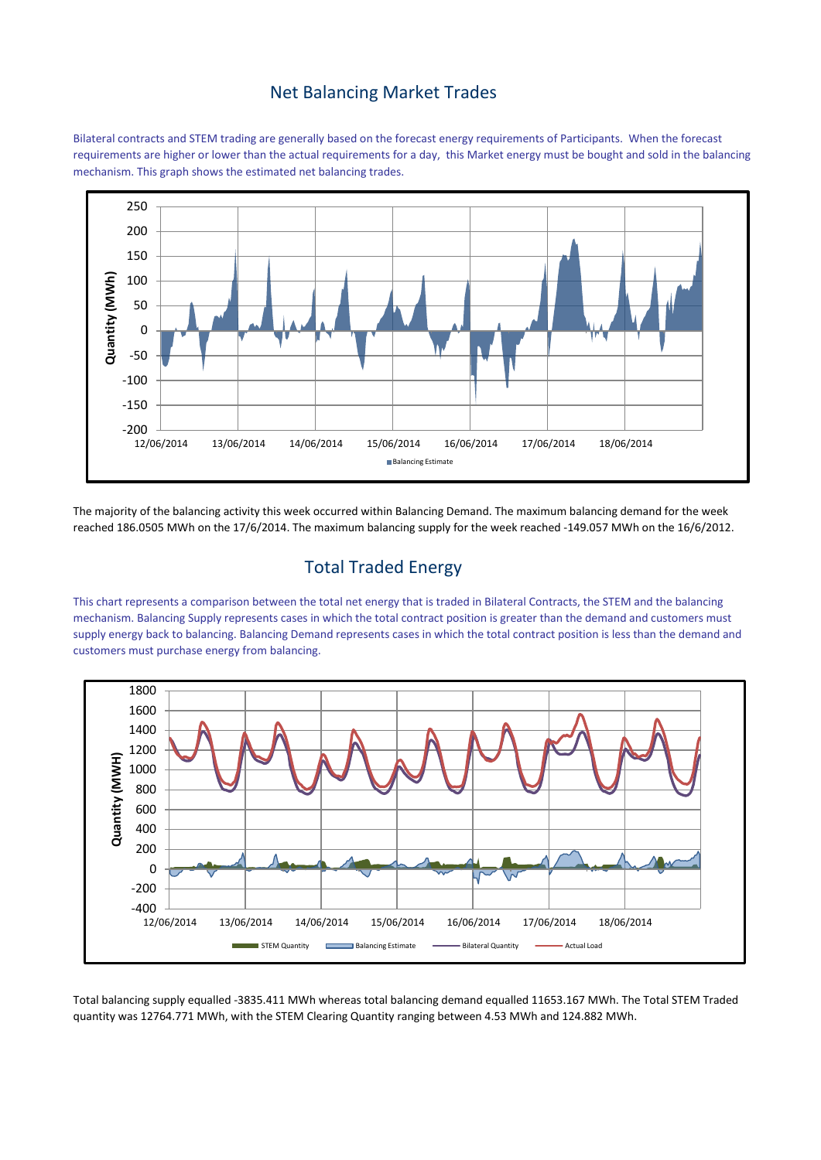#### Net Balancing Market Trades

Bilateral contracts and STEM trading are generally based on the forecast energy requirements of Participants. When the forecast requirements are higher or lower than the actual requirements for a day, this Market energy must be bought and sold in the balancing mechanism. This graph shows the estimated net balancing trades.



The majority of the balancing activity this week occurred within Balancing Demand. The maximum balancing demand for the week reached 186.0505 MWh on the 17/6/2014. The maximum balancing supply for the week reached -149.057 MWh on the 16/6/2012.

# Total Traded Energy

This chart represents a comparison between the total net energy that is traded in Bilateral Contracts, the STEM and the balancing mechanism. Balancing Supply represents cases in which the total contract position is greater than the demand and customers must supply energy back to balancing. Balancing Demand represents cases in which the total contract position is less than the demand and customers must purchase energy from balancing.



Total balancing supply equalled -3835.411 MWh whereas total balancing demand equalled 11653.167 MWh. The Total STEM Traded quantity was 12764.771 MWh, with the STEM Clearing Quantity ranging between 4.53 MWh and 124.882 MWh.